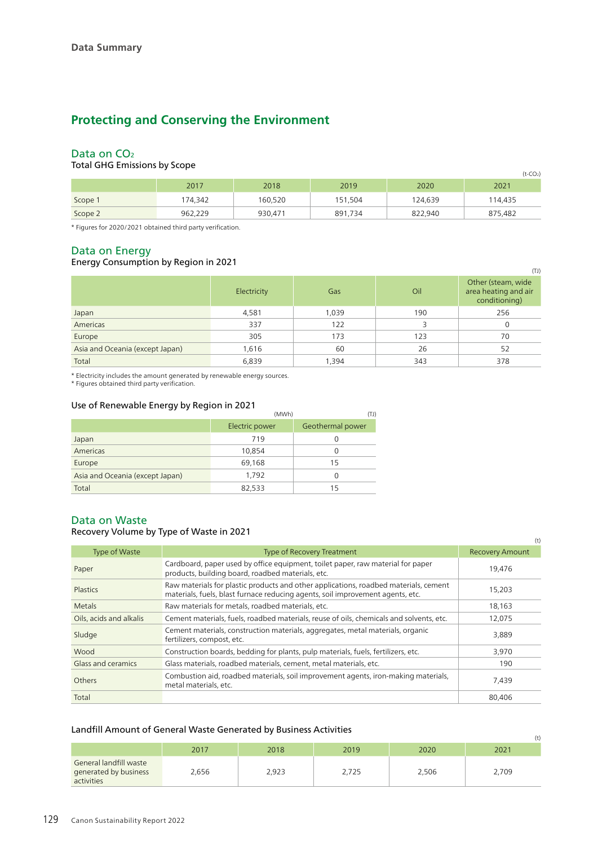# **Protecting and Conserving the Environment**

## Data on CO<sub>2</sub>

#### Total GHG Emissions by Scope

| over and critical cope<br>$(t$ -CO <sub>2</sub> ) |         |         |         |         |         |  |
|---------------------------------------------------|---------|---------|---------|---------|---------|--|
|                                                   | 2017    | 2018    | 2019    | 2020    | 2021    |  |
| Scope 1                                           | 174,342 | 160,520 | 151,504 | 124,639 | 114,435 |  |
| Scope 2                                           | 962,229 | 930.471 | 891,734 | 822.940 | 875,482 |  |

\* Figures for 2020/2021 obtained third party verification.

#### Data on Energy

#### Energy Consumption by Region in 2021

| $\frac{1}{2}$ . $\frac{1}{2}$ , $\frac{1}{2}$ , $\frac{1}{2}$ , $\frac{1}{2}$ , $\frac{1}{2}$ , $\frac{1}{2}$ , $\frac{1}{2}$ , $\frac{1}{2}$ , $\frac{1}{2}$ , $\frac{1}{2}$ |             |       |     | (TJ)                                                        |
|-------------------------------------------------------------------------------------------------------------------------------------------------------------------------------|-------------|-------|-----|-------------------------------------------------------------|
|                                                                                                                                                                               | Electricity | Gas   | Oil | Other (steam, wide<br>area heating and air<br>conditioning) |
| Japan                                                                                                                                                                         | 4,581       | 1,039 | 190 | 256                                                         |
| Americas                                                                                                                                                                      | 337         | 122   | 3   |                                                             |
| Europe                                                                                                                                                                        | 305         | 173   | 123 | 70                                                          |
| Asia and Oceania (except Japan)                                                                                                                                               | 1,616       | 60    | 26  | 52                                                          |
| Total                                                                                                                                                                         | 6,839       | 1,394 | 343 | 378                                                         |

\* Electricity includes the amount generated by renewable energy sources.

\* Figures obtained third party verification.

#### Use of Renewable Energy by Region in 2021

| USE OF REFIEWABLE LITERY BY REGION IN ZUZ I | (MWh)<br>(TJ)  |                  |  |  |
|---------------------------------------------|----------------|------------------|--|--|
|                                             | Electric power | Geothermal power |  |  |
| Japan                                       | 719            |                  |  |  |
| Americas                                    | 10,854         |                  |  |  |
| Europe                                      | 69,168         | 15               |  |  |
| Asia and Oceania (except Japan)             | 1.792          |                  |  |  |
| Total                                       | 82,533         | 15               |  |  |

#### Data on Waste

#### Recovery Volume by Type of Waste in 2021

|                           | $n$ . The cover $\boldsymbol{y}$ is the contract of $\boldsymbol{y}$ is the contract of $\boldsymbol{y}$                                                               | (t)                    |
|---------------------------|------------------------------------------------------------------------------------------------------------------------------------------------------------------------|------------------------|
| Type of Waste             | Type of Recovery Treatment                                                                                                                                             | <b>Recovery Amount</b> |
| Paper                     | Cardboard, paper used by office equipment, toilet paper, raw material for paper<br>products, building board, roadbed materials, etc.                                   | 19,476                 |
| <b>Plastics</b>           | Raw materials for plastic products and other applications, roadbed materials, cement<br>materials, fuels, blast furnace reducing agents, soil improvement agents, etc. | 15,203                 |
| <b>Metals</b>             | Raw materials for metals, roadbed materials, etc.                                                                                                                      | 18,163                 |
| Oils, acids and alkalis   | Cement materials, fuels, roadbed materials, reuse of oils, chemicals and solvents, etc.                                                                                | 12,075                 |
| Sludge                    | Cement materials, construction materials, aggregates, metal materials, organic<br>fertilizers, compost, etc.                                                           | 3,889                  |
| Wood                      | Construction boards, bedding for plants, pulp materials, fuels, fertilizers, etc.                                                                                      | 3,970                  |
| <b>Glass and ceramics</b> | Glass materials, roadbed materials, cement, metal materials, etc.                                                                                                      | 190                    |
| Others                    | Combustion aid, roadbed materials, soil improvement agents, iron-making materials,<br>metal materials, etc.                                                            | 7,439                  |
| Total                     |                                                                                                                                                                        | 80,406                 |

#### Landfill Amount of General Waste Generated by Business Activities

| Landini i mioant of deneral viaste denerated by Basiness i territies |       |       |       |       |       |  |
|----------------------------------------------------------------------|-------|-------|-------|-------|-------|--|
|                                                                      | 2017  | 2018  | 2019  | 2020  | 2021  |  |
| General landfill waste<br>generated by business<br>activities        | 2,656 | 2,923 | 2,725 | 2,506 | 2,709 |  |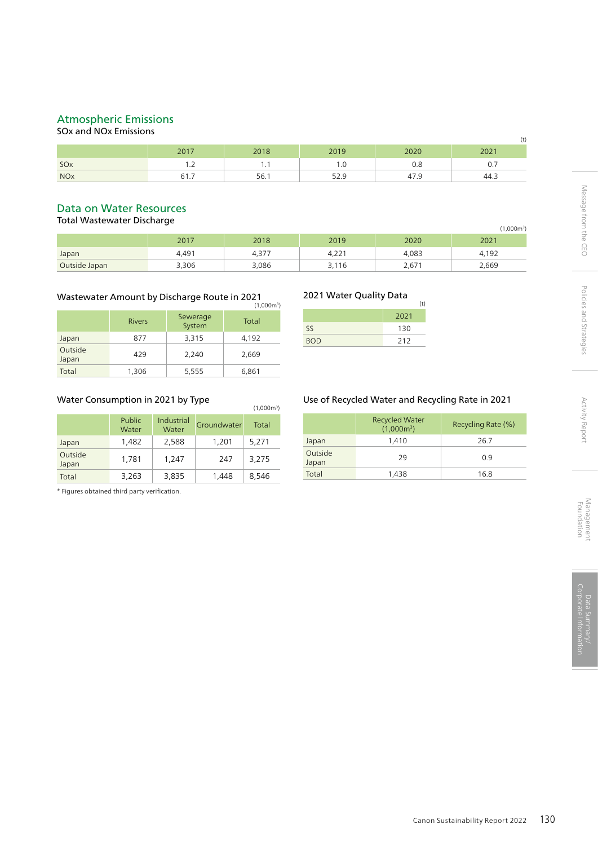### Atmospheric Emissions

# SOx and NOx Emissions

| <b>PERIODE AUTHOR AUTHORITY</b><br>(t) |                          |      |      |      |      |  |
|----------------------------------------|--------------------------|------|------|------|------|--|
|                                        | 2017                     | 2018 | 2019 | 2020 | 2021 |  |
| SO <sub>x</sub>                        | $\overline{\phantom{a}}$ | . .  | .    | 0.8  | 0.7  |  |
| <b>NO<sub>x</sub></b>                  | 61.7                     | 56.1 |      |      | 44.3 |  |

#### Data on Water Resources

Total Wastewater Discharge

|               |       |       |          |       | 1,000m3) |
|---------------|-------|-------|----------|-------|----------|
|               | 2017  | 2018  | 2019     | 2020  | 2021     |
| Japan         | 4,491 | 4,377 | $4,22^r$ | 4,083 | 4.192    |
| Outside Japan | 3,306 | 3,086 | 3,116    | 2,671 | 2,669    |

#### Wastewater Amount by Discharge Route in 2021  $(1,0,0)$

|                  |               |                    | 1,000111 |
|------------------|---------------|--------------------|----------|
|                  | <b>Rivers</b> | Sewerage<br>System | Total    |
| Japan            | 877           | 3,315              | 4,192    |
| Outside<br>Japan | 429           | 2,240              | 2,669    |
| Total            | 1,306         | 5,555              | 6,861    |

#### Water Consumption in 2021 by Type

| Water Consumption in 2021 by Type |                 |                     |             |       |  |  |
|-----------------------------------|-----------------|---------------------|-------------|-------|--|--|
|                                   | Public<br>Water | Industrial<br>Water | Groundwater | Total |  |  |
| Japan                             | 1,482           | 2,588               | 1,201       | 5,271 |  |  |
| Outside<br>Japan                  | 1,781           | 1,247               | 247         | 3,275 |  |  |
| Total                             | 3,263           | 3,835               | 1,448       | 8,546 |  |  |

\* Figures obtained third party verification.

#### 2021 Water Quality Data

| $2021$ $10400$ $20010$ |      | (t |
|------------------------|------|----|
|                        | 2021 |    |
| SS.                    | 130  |    |
| <b>BOD</b>             | 212  |    |

#### Use of Recycled Water and Recycling Rate in 2021

|                  | <b>Recycled Water</b><br>$(1,000m^3)$ | Recycling Rate (%) |
|------------------|---------------------------------------|--------------------|
| Japan            | 1,410                                 | 26.7               |
| Outside<br>Japan | 29                                    | 0.9                |
| Total            | 1,438                                 | 16.8               |

Activity Report

Message from the CEO

Policies and Strategies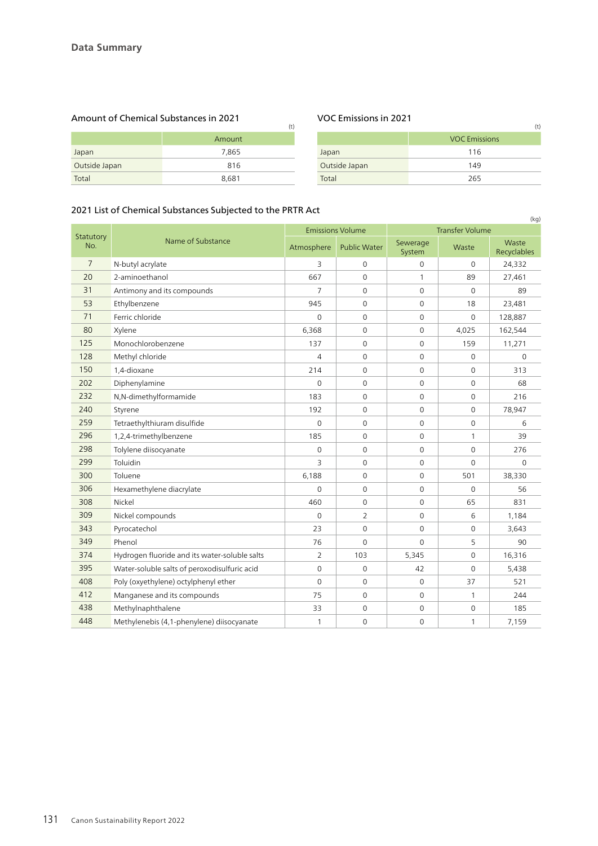# Amount of Chemical Substances in 2021 VOC Emissions in 2021

|               | Amount |               | <b>VOC Emis</b> |
|---------------|--------|---------------|-----------------|
| Japan         | 7.865  | Japan         | 116             |
| Outside Japan | 816    | Outside Japan | 149             |
| Total         | 8.681  | Total         | 265             |

| (t)    |               | (t)                  |
|--------|---------------|----------------------|
| Amount |               | <b>VOC Emissions</b> |
| 7,865  | Japan         | 116                  |
| 816    | Outside Japan | 149                  |
| 8,681  | Total         | 265                  |

#### 2021 List of Chemical Substances Subjected to the PRTR Act

| zuz i zist of chemical substances subjected to the FRIRACt<br>(kg) |                                               |                |                         |                     |                        |                      |  |
|--------------------------------------------------------------------|-----------------------------------------------|----------------|-------------------------|---------------------|------------------------|----------------------|--|
| Statutory                                                          | Name of Substance                             |                | <b>Emissions Volume</b> |                     | <b>Transfer Volume</b> |                      |  |
| No.                                                                |                                               | Atmosphere     | <b>Public Water</b>     | Sewerage<br>System  | Waste                  | Waste<br>Recyclables |  |
| 7                                                                  | N-butyl acrylate                              | 3              | $\Omega$                | $\mathbf 0$         | $\Omega$               | 24,332               |  |
| 20                                                                 | 2-aminoethanol                                | 667            | $\mathbf 0$             | $\mathbf{1}$        | 89                     | 27,461               |  |
| 31                                                                 | Antimony and its compounds                    | $\overline{7}$ | $\mathbf 0$             | $\mathbf 0$         | $\mathbf 0$            | 89                   |  |
| 53                                                                 | Ethylbenzene                                  | 945            | $\mathbf 0$             | $\mathbf 0$         | 18                     | 23,481               |  |
| 71                                                                 | Ferric chloride                               | $\mathbf 0$    | $\mathbf 0$             | $\mathbf 0$         | $\mathbf 0$            | 128,887              |  |
| 80                                                                 | Xylene                                        | 6,368          | $\mathbf 0$             | $\mathbf 0$         | 4,025                  | 162,544              |  |
| 125                                                                | Monochlorobenzene                             | 137            | $\mathbf 0$             | $\mathbf 0$         | 159                    | 11,271               |  |
| 128                                                                | Methyl chloride                               | 4              | $\mathbf 0$             | $\mathbf 0$         | $\Omega$               | $\Omega$             |  |
| 150                                                                | 1,4-dioxane                                   | 214            | $\mathbf 0$             | $\mathbf 0$         | $\mathbf 0$            | 313                  |  |
| 202                                                                | Diphenylamine                                 | $\mathbf 0$    | $\mathbf 0$             | $\mathbf 0$         | $\mathbf 0$            | 68                   |  |
| 232                                                                | N,N-dimethylformamide                         | 183            | $\mathbf 0$             | $\mathbf 0$         | $\mathbf 0$            | 216                  |  |
| 240                                                                | Styrene                                       | 192            | $\mathbf{0}$            | $\Omega$            | $\Omega$               | 78,947               |  |
| 259                                                                | Tetraethylthiuram disulfide                   | $\Omega$       | $\Omega$                | $\Omega$            | $\Omega$               | 6                    |  |
| 296                                                                | 1,2,4-trimethylbenzene                        | 185            | $\mathbf 0$             | $\mathsf{O}\xspace$ | 1                      | 39                   |  |
| 298                                                                | Tolylene diisocyanate                         | $\mathbf 0$    | $\mathbf 0$             | $\mathbf 0$         | $\mathbf 0$            | 276                  |  |
| 299                                                                | Toluidin                                      | 3              | $\Omega$                | $\Omega$            | $\Omega$               | $\Omega$             |  |
| 300                                                                | Toluene                                       | 6,188          | $\mathbf{0}$            | $\Omega$            | 501                    | 38,330               |  |
| 306                                                                | Hexamethylene diacrylate                      | $\mathbf 0$    | $\mathbf 0$             | $\mathbf 0$         | $\mathbf 0$            | 56                   |  |
| 308                                                                | Nickel                                        | 460            | $\mathbf 0$             | $\mathbf 0$         | 65                     | 831                  |  |
| 309                                                                | Nickel compounds                              | $\mathbf 0$    | $\overline{2}$          | $\mathbf 0$         | 6                      | 1,184                |  |
| 343                                                                | Pyrocatechol                                  | 23             | $\mathbf 0$             | $\Omega$            | $\mathbf 0$            | 3,643                |  |
| 349                                                                | Phenol                                        | 76             | $\Omega$                | $\Omega$            | 5                      | 90                   |  |
| 374                                                                | Hydrogen fluoride and its water-soluble salts | $\overline{2}$ | 103                     | 5,345               | $\mathbf 0$            | 16,316               |  |
| 395                                                                | Water-soluble salts of peroxodisulfuric acid  | $\mathbf 0$    | $\mathbf 0$             | 42                  | $\Omega$               | 5,438                |  |
| 408                                                                | Poly (oxyethylene) octylphenyl ether          | $\mathbf 0$    | $\mathbf 0$             | $\mathbf 0$         | 37                     | 521                  |  |
| 412                                                                | Manganese and its compounds                   | 75             | $\mathbf 0$             | $\mathbf 0$         | 1                      | 244                  |  |
| 438                                                                | Methylnaphthalene                             | 33             | $\mathbf 0$             | $\mathsf{O}\xspace$ | $\mathbf 0$            | 185                  |  |
| 448                                                                | Methylenebis (4,1-phenylene) diisocyanate     | 1              | $\mathbf 0$             | $\mathbf 0$         | 1                      | 7,159                |  |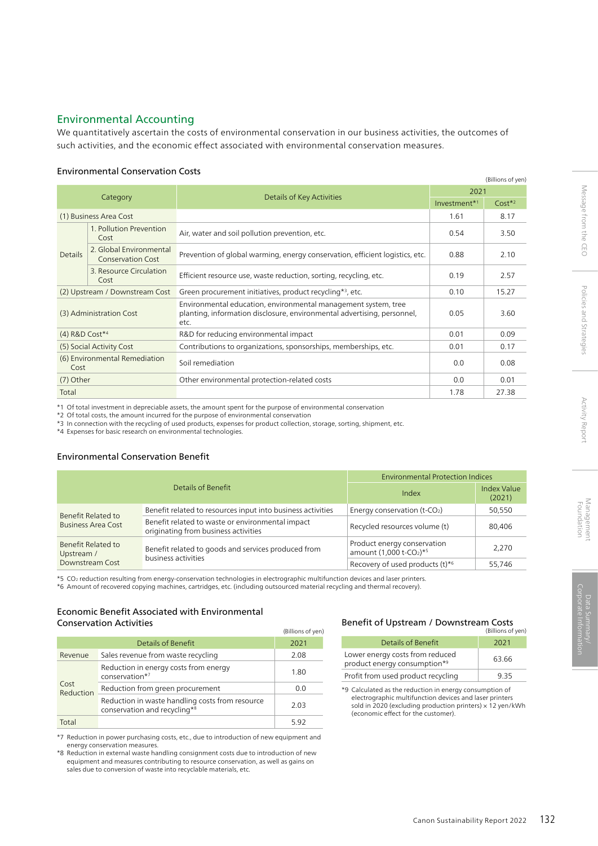#### Environmental Accounting

We quantitatively ascertain the costs of environmental conservation in our business activities, the outcomes of such activities, and the economic effect associated with environmental conservation measures.

#### Environmental Conservation Costs

| (Billions of yen)                     |                                                     |                                                                                                                                                   |                          |          |
|---------------------------------------|-----------------------------------------------------|---------------------------------------------------------------------------------------------------------------------------------------------------|--------------------------|----------|
| Category                              |                                                     |                                                                                                                                                   | 2021                     |          |
|                                       |                                                     | Details of Key Activities                                                                                                                         | Investment <sup>*1</sup> | $Cost*2$ |
|                                       | (1) Business Area Cost                              |                                                                                                                                                   | 1.61                     | 8.17     |
|                                       | 1. Pollution Prevention<br>Cost                     | Air, water and soil pollution prevention, etc.                                                                                                    | 0.54                     | 3.50     |
| <b>Details</b>                        | 2. Global Environmental<br><b>Conservation Cost</b> | Prevention of global warming, energy conservation, efficient logistics, etc.                                                                      | 0.88                     | 2.10     |
|                                       | 3. Resource Circulation<br>Cost                     | Efficient resource use, waste reduction, sorting, recycling, etc.                                                                                 | 0.19                     | 2.57     |
|                                       | (2) Upstream / Downstream Cost                      | Green procurement initiatives, product recycling*3, etc.                                                                                          | 0.10                     | 15.27    |
|                                       | (3) Administration Cost                             | Environmental education, environmental management system, tree<br>planting, information disclosure, environmental advertising, personnel,<br>etc. | 0.05                     | 3.60     |
| (4) R&D Cost*4                        |                                                     | R&D for reducing environmental impact                                                                                                             | 0.01                     | 0.09     |
|                                       | (5) Social Activity Cost                            | Contributions to organizations, sponsorships, memberships, etc.                                                                                   | 0.01                     | 0.17     |
| (6) Environmental Remediation<br>Cost |                                                     | Soil remediation                                                                                                                                  | 0.0                      | 0.08     |
| (7) Other                             |                                                     | Other environmental protection-related costs                                                                                                      | 0.0                      | 0.01     |
| Total                                 |                                                     |                                                                                                                                                   | 1.78                     | 27.38    |

\*1 Of total investment in depreciable assets, the amount spent for the purpose of environmental conservation

\*2 Of total costs, the amount incurred for the purpose of environmental conservation

\*3 In connection with the recycling of used products, expenses for product collection, storage, sorting, shipment, etc.

\*4 Expenses for basic research on environmental technologies.

#### Environmental Conservation Benefit

| Details of Benefit                              |                                                                                          | <b>Environmental Protection Indices</b>                                        |                              |  |
|-------------------------------------------------|------------------------------------------------------------------------------------------|--------------------------------------------------------------------------------|------------------------------|--|
|                                                 |                                                                                          | Index                                                                          | <b>Index Value</b><br>(2021) |  |
| Benefit Related to<br><b>Business Area Cost</b> | Benefit related to resources input into business activities                              | Energy conservation (t-CO2)                                                    | 50.550                       |  |
|                                                 | Benefit related to waste or environmental impact<br>originating from business activities | Recycled resources volume (t)                                                  | 80,406                       |  |
| Benefit Related to<br>Upstream /                | Benefit related to goods and services produced from                                      | Product energy conservation<br>amount (1,000 t-CO <sub>2</sub> ) <sup>*5</sup> | 2.270                        |  |
| Downstream Cost                                 | business activities                                                                      | Recovery of used products $(t)^{*6}$                                           | 55,746                       |  |

\*5 CO2 reduction resulting from energy-conservation technologies in electrographic multifunction devices and laser printers.

\*6 Amount of recovered copying machines, cartridges, etc. (including outsourced material recycling and thermal recovery).

#### Economic Benefit Associated with Environmental Conservation Activities

|                   |                                                                                 | (Billions of yen) |
|-------------------|---------------------------------------------------------------------------------|-------------------|
|                   | Details of Benefit                                                              | 2021              |
| Revenue           | Sales revenue from waste recycling                                              | 2.08              |
| Cost<br>Reduction | Reduction in energy costs from energy<br>conservation*7                         | 1.80              |
|                   | Reduction from green procurement                                                | 0.0               |
|                   | Reduction in waste handling costs from resource<br>conservation and recycling*8 | 2.03              |
| Total             |                                                                                 | 5.92              |

\*7 Reduction in power purchasing costs, etc., due to introduction of new equipment and energy conservation measures.

\*8 Reduction in external waste handling consignment costs due to introduction of new equipment and measures contributing to resource conservation, as well as gains on sales due to conversion of waste into recyclable materials, etc.

#### Benefit of Upstream / Downstream Costs

| Details of Benefit                                              | 2021  |
|-----------------------------------------------------------------|-------|
| Lower energy costs from reduced<br>product energy consumption*9 | 63.66 |
| Profit from used product recycling                              | 935   |

\*9 Calculated as the reduction in energy consumption of electrographic multifunction devices and laser printers sold in 2020 (excluding production printers) × 12 yen/kWh (economic effect for the customer).